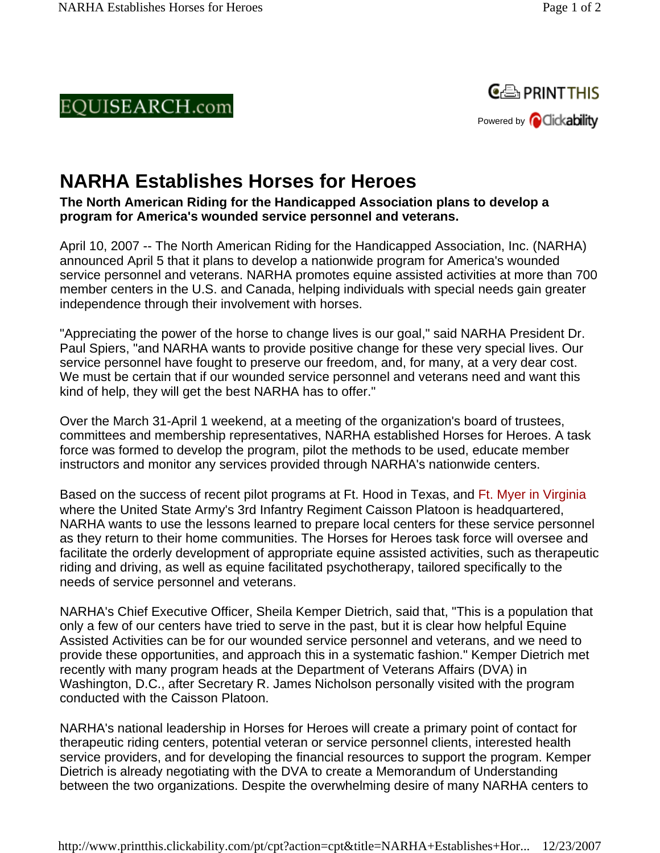## EQUISEARCH.com



## **NARHA Establishes Horses for Heroes**

**The North American Riding for the Handicapped Association plans to develop a program for America's wounded service personnel and veterans.**

April 10, 2007 -- The North American Riding for the Handicapped Association, Inc. (NARHA) announced April 5 that it plans to develop a nationwide program for America's wounded service personnel and veterans. NARHA promotes equine assisted activities at more than 700 member centers in the U.S. and Canada, helping individuals with special needs gain greater independence through their involvement with horses.

"Appreciating the power of the horse to change lives is our goal," said NARHA President Dr. Paul Spiers, "and NARHA wants to provide positive change for these very special lives. Our service personnel have fought to preserve our freedom, and, for many, at a very dear cost. We must be certain that if our wounded service personnel and veterans need and want this kind of help, they will get the best NARHA has to offer."

Over the March 31-April 1 weekend, at a meeting of the organization's board of trustees, committees and membership representatives, NARHA established Horses for Heroes. A task force was formed to develop the program, pilot the methods to be used, educate member instructors and monitor any services provided through NARHA's nationwide centers.

Based on the success of recent pilot programs at Ft. Hood in Texas, and Ft. Myer in Virginia where the United State Army's 3rd Infantry Regiment Caisson Platoon is headquartered, NARHA wants to use the lessons learned to prepare local centers for these service personnel as they return to their home communities. The Horses for Heroes task force will oversee and facilitate the orderly development of appropriate equine assisted activities, such as therapeutic riding and driving, as well as equine facilitated psychotherapy, tailored specifically to the needs of service personnel and veterans.

NARHA's Chief Executive Officer, Sheila Kemper Dietrich, said that, "This is a population that only a few of our centers have tried to serve in the past, but it is clear how helpful Equine Assisted Activities can be for our wounded service personnel and veterans, and we need to provide these opportunities, and approach this in a systematic fashion." Kemper Dietrich met recently with many program heads at the Department of Veterans Affairs (DVA) in Washington, D.C., after Secretary R. James Nicholson personally visited with the program conducted with the Caisson Platoon.

NARHA's national leadership in Horses for Heroes will create a primary point of contact for therapeutic riding centers, potential veteran or service personnel clients, interested health service providers, and for developing the financial resources to support the program. Kemper Dietrich is already negotiating with the DVA to create a Memorandum of Understanding between the two organizations. Despite the overwhelming desire of many NARHA centers to